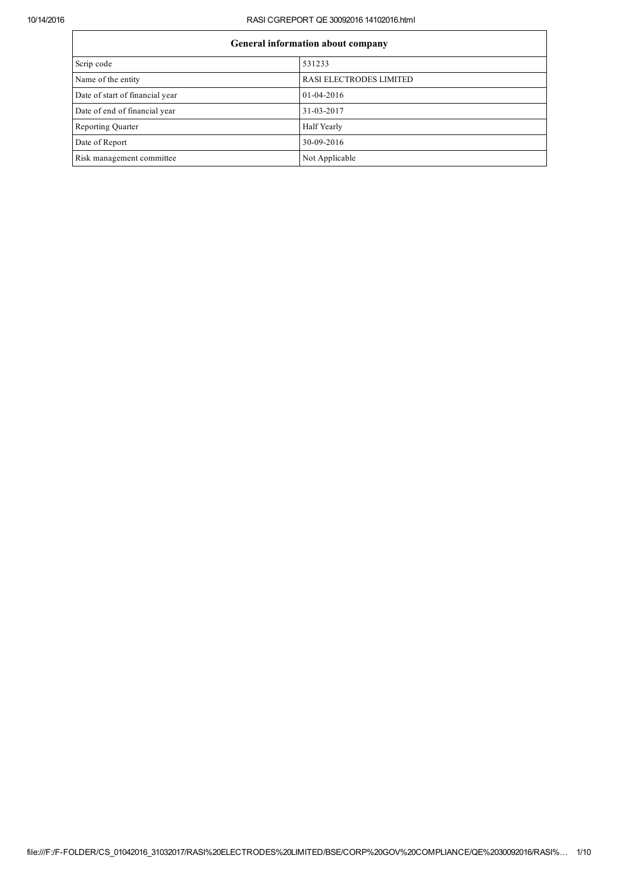## 10/14/2016 RASI CGREPORT QE 30092016 14102016.html

| <b>General information about company</b> |                         |  |  |  |
|------------------------------------------|-------------------------|--|--|--|
| Scrip code                               | 531233                  |  |  |  |
| Name of the entity                       | RASI ELECTRODES LIMITED |  |  |  |
| Date of start of financial year          | $01-04-2016$            |  |  |  |
| Date of end of financial year            | 31-03-2017              |  |  |  |
| Reporting Quarter                        | Half Yearly             |  |  |  |
| Date of Report                           | 30-09-2016              |  |  |  |
| Risk management committee                | Not Applicable          |  |  |  |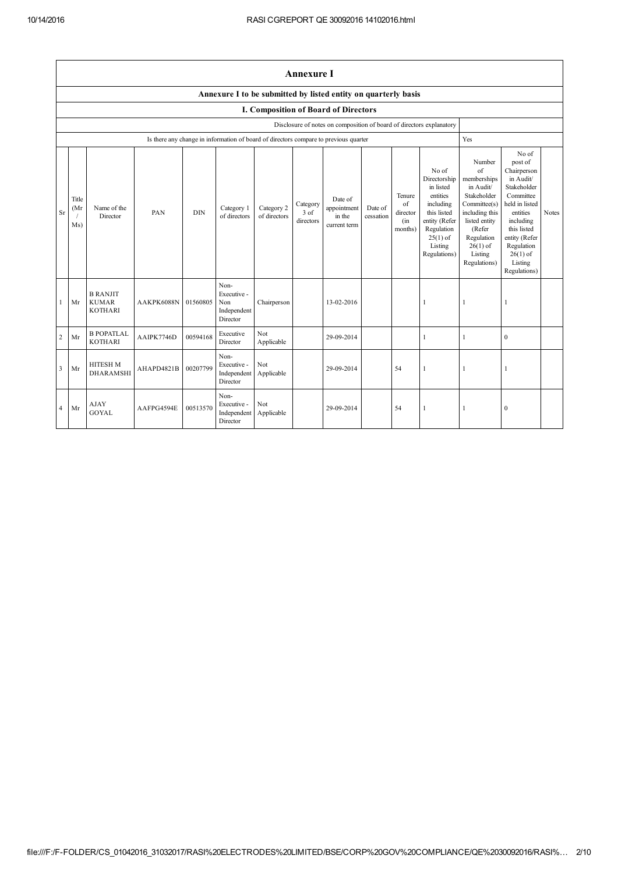|                | <b>Annexure I</b>                                              |                                                   |            |            |                                                                                      |                            |                               |                                                                      |                      |                                            |                                                                                                                                                    |                                                                                                                                                                             |                                                                                                                                                                                                            |              |
|----------------|----------------------------------------------------------------|---------------------------------------------------|------------|------------|--------------------------------------------------------------------------------------|----------------------------|-------------------------------|----------------------------------------------------------------------|----------------------|--------------------------------------------|----------------------------------------------------------------------------------------------------------------------------------------------------|-----------------------------------------------------------------------------------------------------------------------------------------------------------------------------|------------------------------------------------------------------------------------------------------------------------------------------------------------------------------------------------------------|--------------|
|                | Annexure I to be submitted by listed entity on quarterly basis |                                                   |            |            |                                                                                      |                            |                               |                                                                      |                      |                                            |                                                                                                                                                    |                                                                                                                                                                             |                                                                                                                                                                                                            |              |
|                |                                                                |                                                   |            |            |                                                                                      |                            |                               | I. Composition of Board of Directors                                 |                      |                                            |                                                                                                                                                    |                                                                                                                                                                             |                                                                                                                                                                                                            |              |
|                |                                                                |                                                   |            |            |                                                                                      |                            |                               | Disclosure of notes on composition of board of directors explanatory |                      |                                            |                                                                                                                                                    |                                                                                                                                                                             |                                                                                                                                                                                                            |              |
|                |                                                                |                                                   |            |            | Is there any change in information of board of directors compare to previous quarter |                            |                               |                                                                      |                      |                                            |                                                                                                                                                    | Yes                                                                                                                                                                         |                                                                                                                                                                                                            |              |
| <b>Sr</b>      | Title<br>(Mr)<br>Ms)                                           | Name of the<br>Director                           | PAN        | <b>DIN</b> | Category 1<br>of directors                                                           | Category 2<br>of directors | Category<br>3 of<br>directors | Date of<br>appointment<br>in the<br>current term                     | Date of<br>cessation | Tenure<br>of<br>director<br>(in<br>months) | No of<br>Directorship<br>in listed<br>entities<br>including<br>this listed<br>entity (Refer<br>Regulation<br>$25(1)$ of<br>Listing<br>Regulations) | Number<br>of<br>memberships<br>in Audit/<br>Stakeholder<br>Committee(s)<br>including this<br>listed entity<br>(Refer<br>Regulation<br>$26(1)$ of<br>Listing<br>Regulations) | No of<br>post of<br>Chairperson<br>in Audit/<br>Stakeholder<br>Committee<br>held in listed<br>entities<br>including<br>this listed<br>entity (Refer<br>Regulation<br>$26(1)$ of<br>Listing<br>Regulations) | <b>Notes</b> |
| $\overline{1}$ | Mr                                                             | <b>B RANJIT</b><br><b>KUMAR</b><br><b>KOTHARI</b> | AAKPK6088N | 01560805   | Non-<br>Executive -<br>Non<br>Independent<br>Director                                | Chairperson                |                               | 13-02-2016                                                           |                      |                                            | 1                                                                                                                                                  | 1                                                                                                                                                                           | -1                                                                                                                                                                                                         |              |
| $\overline{c}$ | Mr                                                             | <b>B POPATLAL</b><br><b>KOTHARI</b>               | AAIPK7746D | 00594168   | Executive<br>Director                                                                | Not<br>Applicable          |                               | 29-09-2014                                                           |                      |                                            | 1                                                                                                                                                  | 1                                                                                                                                                                           | $\mathbf{0}$                                                                                                                                                                                               |              |
| 3              | Mr                                                             | <b>HITESH M</b><br><b>DHARAMSHI</b>               | AHAPD4821B | 00207799   | Non-<br>Executive -<br>Independent<br>Director                                       | Not<br>Applicable          |                               | 29-09-2014                                                           |                      | 54                                         | $\mathbf{1}$                                                                                                                                       | 1                                                                                                                                                                           | 1                                                                                                                                                                                                          |              |
| $\overline{4}$ | Mr                                                             | AJAY<br><b>GOYAL</b>                              | AAFPG4594E | 00513570   | Non-<br>Executive -<br>Independent<br>Director                                       | Not<br>Applicable          |                               | 29-09-2014                                                           |                      | 54                                         | 1                                                                                                                                                  |                                                                                                                                                                             | $\mathbf{0}$                                                                                                                                                                                               |              |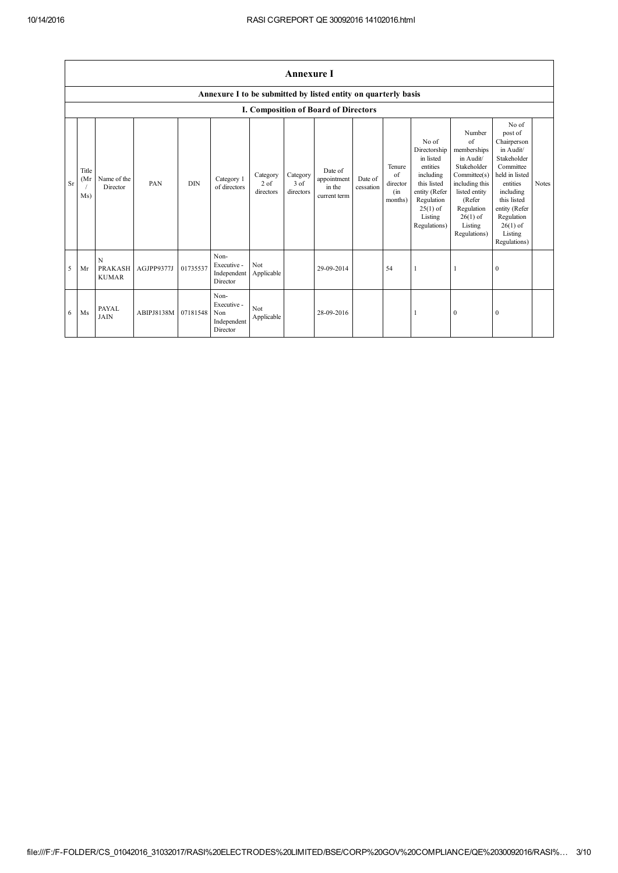|           | <b>Annexure I</b>   |                                     |            |            |                                                                |                                 |                               |                                                  |                      |                                            |                                                                                                                                                    |                                                                                                                                                                             |                                                                                                                                                                                                            |              |
|-----------|---------------------|-------------------------------------|------------|------------|----------------------------------------------------------------|---------------------------------|-------------------------------|--------------------------------------------------|----------------------|--------------------------------------------|----------------------------------------------------------------------------------------------------------------------------------------------------|-----------------------------------------------------------------------------------------------------------------------------------------------------------------------------|------------------------------------------------------------------------------------------------------------------------------------------------------------------------------------------------------------|--------------|
|           |                     |                                     |            |            | Annexure I to be submitted by listed entity on quarterly basis |                                 |                               |                                                  |                      |                                            |                                                                                                                                                    |                                                                                                                                                                             |                                                                                                                                                                                                            |              |
|           |                     |                                     |            |            |                                                                |                                 |                               | I. Composition of Board of Directors             |                      |                                            |                                                                                                                                                    |                                                                                                                                                                             |                                                                                                                                                                                                            |              |
| <b>Sr</b> | Title<br>(Mr<br>Ms) | Name of the<br>Director             | <b>PAN</b> | <b>DIN</b> | Category 1<br>of directors                                     | Category<br>$2$ of<br>directors | Category<br>3 of<br>directors | Date of<br>appointment<br>in the<br>current term | Date of<br>cessation | Tenure<br>of<br>director<br>(in<br>months) | No of<br>Directorship<br>in listed<br>entities<br>including<br>this listed<br>entity (Refer<br>Regulation<br>$25(1)$ of<br>Listing<br>Regulations) | Number<br>of<br>memberships<br>in Audit/<br>Stakeholder<br>Committee(s)<br>including this<br>listed entity<br>(Refer<br>Regulation<br>$26(1)$ of<br>Listing<br>Regulations) | No of<br>post of<br>Chairperson<br>in Audit/<br>Stakeholder<br>Committee<br>held in listed<br>entities<br>including<br>this listed<br>entity (Refer<br>Regulation<br>$26(1)$ of<br>Listing<br>Regulations) | <b>Notes</b> |
| 5         | Mr                  | N<br><b>PRAKASH</b><br><b>KUMAR</b> | AGJPP9377J | 01735537   | Non-<br>Executive -<br>Independent<br>Director                 | Not<br>Applicable               |                               | 29-09-2014                                       |                      | 54                                         | $\mathbf{1}$                                                                                                                                       |                                                                                                                                                                             | $\mathbf{0}$                                                                                                                                                                                               |              |
| 6         | Ms                  | <b>PAYAL</b><br>JAIN                | ABIPJ8138M | 07181548   | Non-<br>Executive -<br>Non<br>Independent<br>Director          | Not<br>Applicable               |                               | 28-09-2016                                       |                      |                                            | -1                                                                                                                                                 | $\mathbf{0}$                                                                                                                                                                | $\mathbf{0}$                                                                                                                                                                                               |              |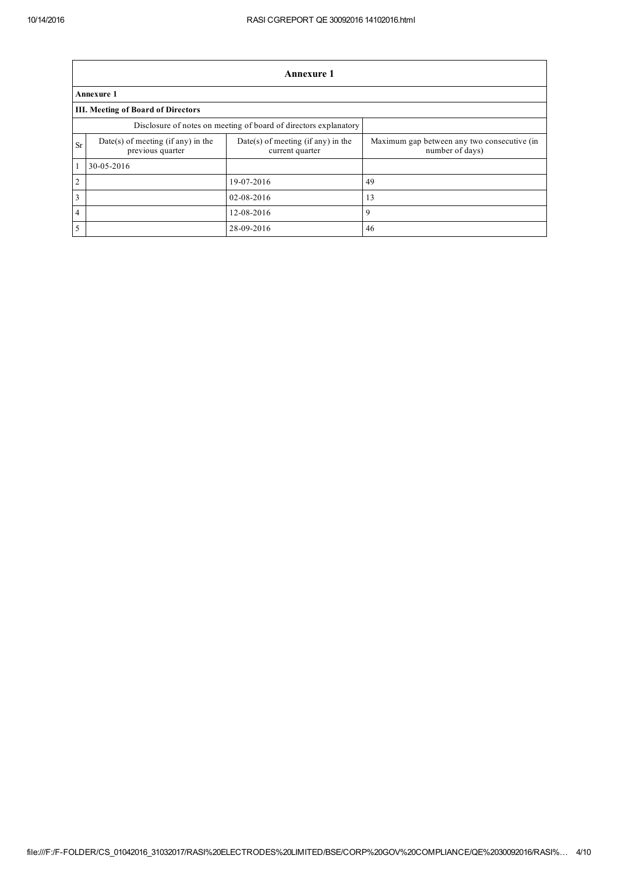|                                                                                                                                | <b>Annexure 1</b>                                                |                                                                |    |  |  |  |  |  |
|--------------------------------------------------------------------------------------------------------------------------------|------------------------------------------------------------------|----------------------------------------------------------------|----|--|--|--|--|--|
|                                                                                                                                | <b>Annexure 1</b>                                                |                                                                |    |  |  |  |  |  |
|                                                                                                                                | <b>III. Meeting of Board of Directors</b>                        |                                                                |    |  |  |  |  |  |
|                                                                                                                                | Disclosure of notes on meeting of board of directors explanatory |                                                                |    |  |  |  |  |  |
| $Date(s)$ of meeting (if any) in the<br>Date(s) of meeting (if any) in the<br><b>Sr</b><br>previous quarter<br>current quarter |                                                                  | Maximum gap between any two consecutive (in<br>number of days) |    |  |  |  |  |  |
|                                                                                                                                | 30-05-2016                                                       |                                                                |    |  |  |  |  |  |
| $\overline{2}$                                                                                                                 |                                                                  | 19-07-2016                                                     | 49 |  |  |  |  |  |
| 3                                                                                                                              |                                                                  | 02-08-2016                                                     | 13 |  |  |  |  |  |
| $\overline{4}$                                                                                                                 |                                                                  | 12-08-2016                                                     | 9  |  |  |  |  |  |
| 5                                                                                                                              |                                                                  | 28-09-2016                                                     | 46 |  |  |  |  |  |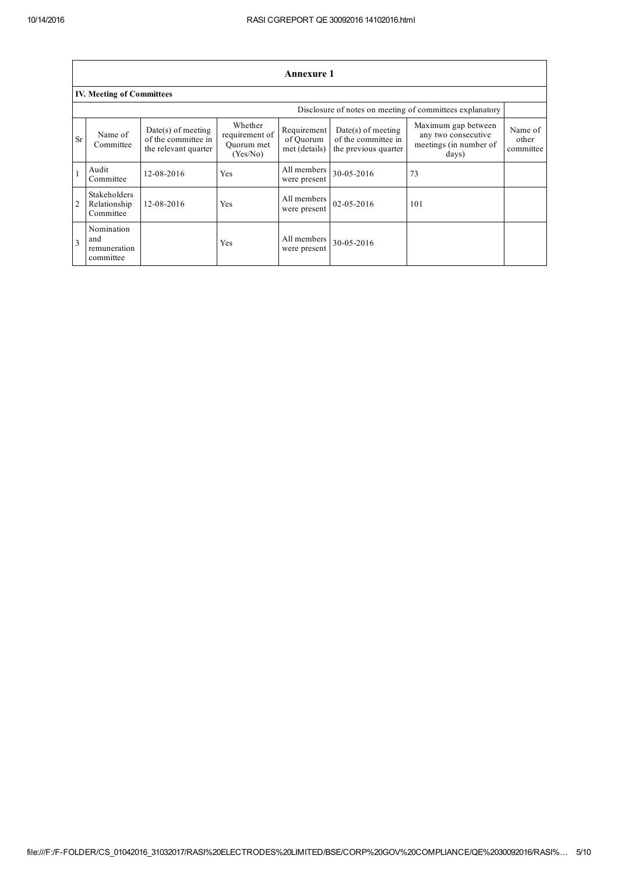|           | <b>Annexure 1</b>                                        |                                                                     |                                                     |                                           |                                                                     |                                                                               |                               |  |  |
|-----------|----------------------------------------------------------|---------------------------------------------------------------------|-----------------------------------------------------|-------------------------------------------|---------------------------------------------------------------------|-------------------------------------------------------------------------------|-------------------------------|--|--|
|           | <b>IV. Meeting of Committees</b>                         |                                                                     |                                                     |                                           |                                                                     |                                                                               |                               |  |  |
|           | Disclosure of notes on meeting of committees explanatory |                                                                     |                                                     |                                           |                                                                     |                                                                               |                               |  |  |
| <b>Sr</b> | Name of<br>Committee                                     | $Date(s)$ of meeting<br>of the committee in<br>the relevant quarter | Whether<br>requirement of<br>Ouorum met<br>(Yes/No) | Requirement<br>of Ouorum<br>met (details) | $Date(s)$ of meeting<br>of the committee in<br>the previous quarter | Maximum gap between<br>any two consecutive<br>meetings (in number of<br>days) | Name of<br>other<br>committee |  |  |
|           | Audit<br>Committee                                       | 12-08-2016                                                          | Yes                                                 | All members<br>were present               | 30-05-2016                                                          | 73                                                                            |                               |  |  |
|           | <b>Stakeholders</b><br>Relationship<br>Committee         | 12-08-2016                                                          | Yes                                                 | All members<br>were present               | 02-05-2016                                                          | 101                                                                           |                               |  |  |
| 3         | Nomination<br>and<br>remuneration<br>committee           |                                                                     | Yes                                                 | All members<br>were present               | 30-05-2016                                                          |                                                                               |                               |  |  |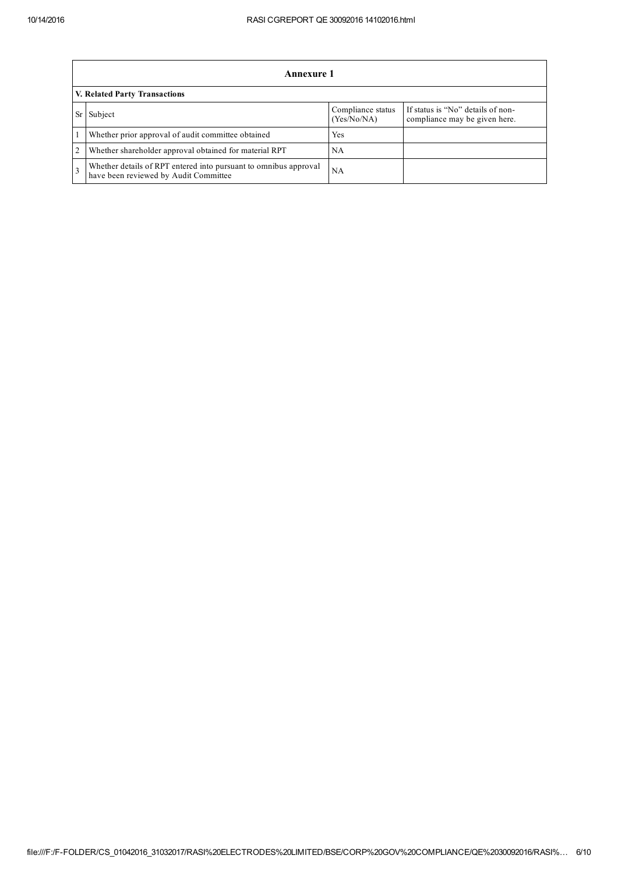| Annexure 1                                                                                                |                                  |                                                                    |  |  |  |  |
|-----------------------------------------------------------------------------------------------------------|----------------------------------|--------------------------------------------------------------------|--|--|--|--|
| V. Related Party Transactions                                                                             |                                  |                                                                    |  |  |  |  |
| Subject                                                                                                   | Compliance status<br>(Yes/No/NA) | If status is "No" details of non-<br>compliance may be given here. |  |  |  |  |
| Whether prior approval of audit committee obtained                                                        | Yes                              |                                                                    |  |  |  |  |
| Whether shareholder approval obtained for material RPT                                                    | NA                               |                                                                    |  |  |  |  |
| Whether details of RPT entered into pursuant to omnibus approval<br>have been reviewed by Audit Committee | NA                               |                                                                    |  |  |  |  |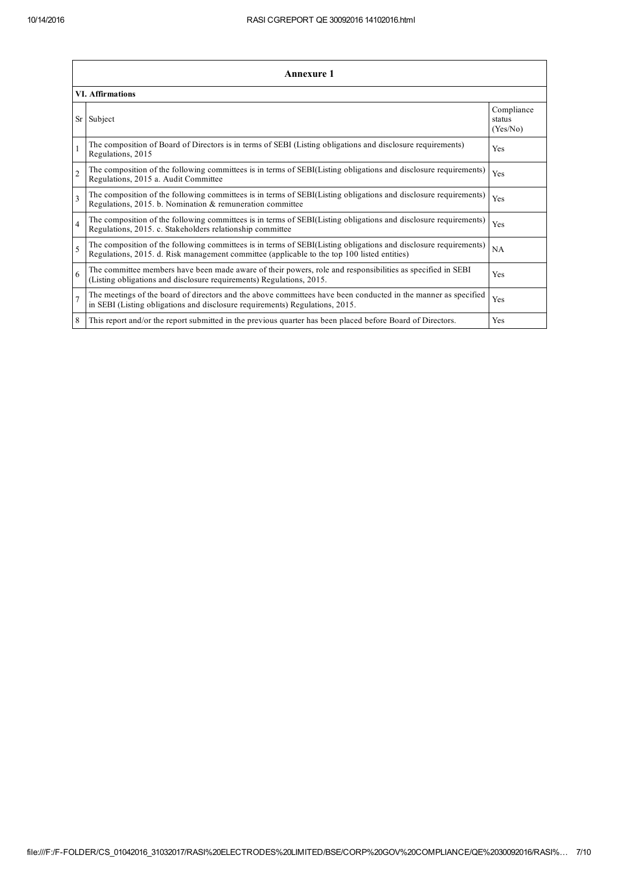|                         | Annexure 1                                                                                                                                                                                                      |                                  |  |  |  |  |
|-------------------------|-----------------------------------------------------------------------------------------------------------------------------------------------------------------------------------------------------------------|----------------------------------|--|--|--|--|
|                         | <b>VI.</b> Affirmations                                                                                                                                                                                         |                                  |  |  |  |  |
| Sr                      | Subject                                                                                                                                                                                                         | Compliance<br>status<br>(Yes/No) |  |  |  |  |
|                         | The composition of Board of Directors is in terms of SEBI (Listing obligations and disclosure requirements)<br>Regulations, 2015                                                                                | Yes                              |  |  |  |  |
| $\mathfrak{D}$          | The composition of the following committees is in terms of SEBI(Listing obligations and disclosure requirements)<br>Regulations, 2015 a. Audit Committee                                                        | <b>Yes</b>                       |  |  |  |  |
| $\overline{\mathbf{3}}$ | The composition of the following committees is in terms of SEBI(Listing obligations and disclosure requirements)<br>Regulations, $2015$ . b. Nomination & remuneration committee                                | Yes                              |  |  |  |  |
| $\overline{4}$          | The composition of the following committees is in terms of SEBI(Listing obligations and disclosure requirements)<br>Regulations, 2015. c. Stakeholders relationship committee                                   | Yes                              |  |  |  |  |
| $\varsigma$             | The composition of the following committees is in terms of SEBI(Listing obligations and disclosure requirements)<br>Regulations, 2015. d. Risk management committee (applicable to the top 100 listed entities) | <b>NA</b>                        |  |  |  |  |
| 6                       | The committee members have been made aware of their powers, role and responsibilities as specified in SEBI<br>(Listing obligations and disclosure requirements) Regulations, 2015.                              | Yes                              |  |  |  |  |
|                         | The meetings of the board of directors and the above committees have been conducted in the manner as specified<br>in SEBI (Listing obligations and disclosure requirements) Regulations, 2015.                  | Yes                              |  |  |  |  |
| 8                       | This report and/or the report submitted in the previous quarter has been placed before Board of Directors.                                                                                                      | Yes                              |  |  |  |  |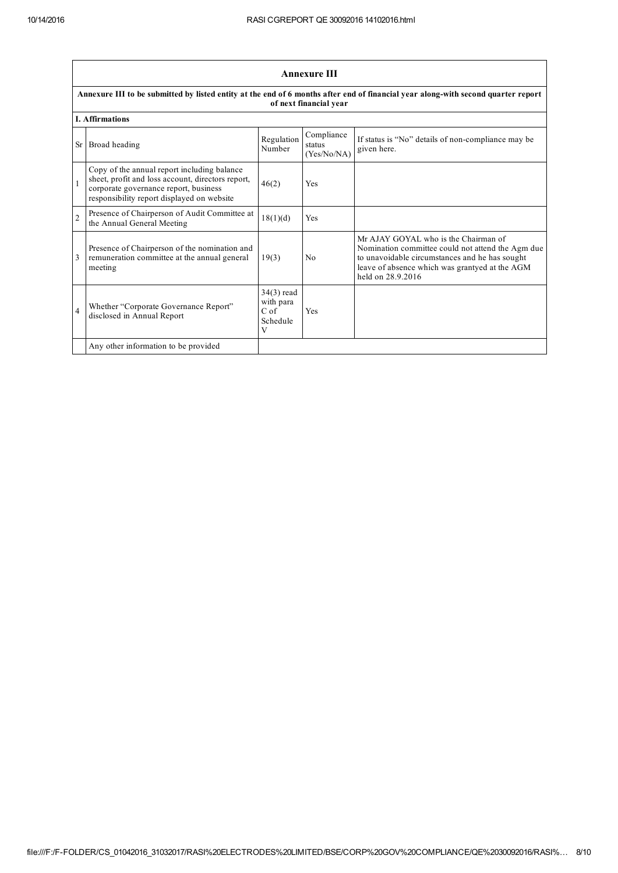|                | <b>Annexure III</b>                                                                                                                                                                     |                                                               |                                     |                                                                                                                                                                                                                    |  |  |  |  |
|----------------|-----------------------------------------------------------------------------------------------------------------------------------------------------------------------------------------|---------------------------------------------------------------|-------------------------------------|--------------------------------------------------------------------------------------------------------------------------------------------------------------------------------------------------------------------|--|--|--|--|
|                | Annexure III to be submitted by listed entity at the end of 6 months after end of financial year along-with second quarter report<br>of next financial year                             |                                                               |                                     |                                                                                                                                                                                                                    |  |  |  |  |
|                | <b>L. Affirmations</b>                                                                                                                                                                  |                                                               |                                     |                                                                                                                                                                                                                    |  |  |  |  |
| Sr             | Broad heading                                                                                                                                                                           | Regulation<br>Number                                          | Compliance<br>status<br>(Yes/No/NA) | If status is "No" details of non-compliance may be<br>given here.                                                                                                                                                  |  |  |  |  |
|                | Copy of the annual report including balance<br>sheet, profit and loss account, directors report,<br>corporate governance report, business<br>responsibility report displayed on website | 46(2)                                                         | Yes                                 |                                                                                                                                                                                                                    |  |  |  |  |
| $\mathfrak{D}$ | Presence of Chairperson of Audit Committee at<br>the Annual General Meeting                                                                                                             | 18(1)(d)                                                      | Yes                                 |                                                                                                                                                                                                                    |  |  |  |  |
|                | Presence of Chairperson of the nomination and<br>remuneration committee at the annual general<br>meeting                                                                                | 19(3)                                                         | No                                  | Mr AJAY GOYAL who is the Chairman of<br>Nomination committee could not attend the Agm due<br>to unavoidable circumstances and he has sought<br>leave of absence which was grantyed at the AGM<br>held on 28.9.2016 |  |  |  |  |
| $\overline{4}$ | Whether "Corporate Governance Report"<br>disclosed in Annual Report                                                                                                                     | $34(3)$ read<br>with para<br>C <sub>of</sub><br>Schedule<br>V | Yes                                 |                                                                                                                                                                                                                    |  |  |  |  |
|                | Any other information to be provided                                                                                                                                                    |                                                               |                                     |                                                                                                                                                                                                                    |  |  |  |  |